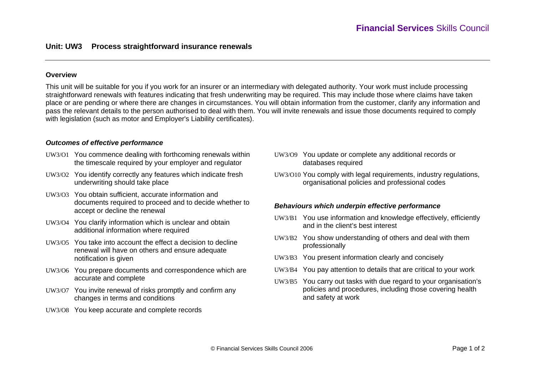## **Overview**

This unit will be suitable for you if you work for an insurer or an intermediary with delegated authority. Your work must include processing straightforward renewals with features indicating that fresh underwriting may be required. This may include those where claims have taken place or are pending or where there are changes in circumstances. You will obtain information from the customer, clarify any information and pass the relevant details to the person authorised to deal with them. You will invite renewals and issue those documents required to comply with legislation (such as motor and Employer's Liability certificates).

### *Outcomes of effective performance*

- UW3/O1 You commence dealing with forthcoming renewals within the timescale required by your employer and regulator
- UW3/O2 You identify correctly any features which indicate fresh underwriting should take place
- UW3/O3 You obtain sufficient, accurate information and documents required to proceed and to decide whether to accept or decline the renewal
- UW3/O4 You clarify information which is unclear and obtain additional information where required
- UW3/O5 You take into account the effect a decision to decline renewal will have on others and ensure adequate notification is given
- UW3/O6 You prepare documents and correspondence which are accurate and complete
- UW3/O7 You invite renewal of risks promptly and confirm any changes in terms and conditions
- UW3/O8 You keep accurate and complete records
- UW3/O9 You update or complete any additional records or databases required
- UW3/O10 You comply with legal requirements, industry regulations, organisational policies and professional codes

#### *Behaviours which underpin effective performance*

- UW3/B1 You use information and knowledge effectively, efficiently and in the client's best interest
- UW3/B2 You show understanding of others and deal with them professionally
- UW3/B3 You present information clearly and concisely
- UW3/B4 You pay attention to details that are critical to your work
- UW3/B5 You carry out tasks with due regard to your organisation's policies and procedures, including those covering health and safety at work